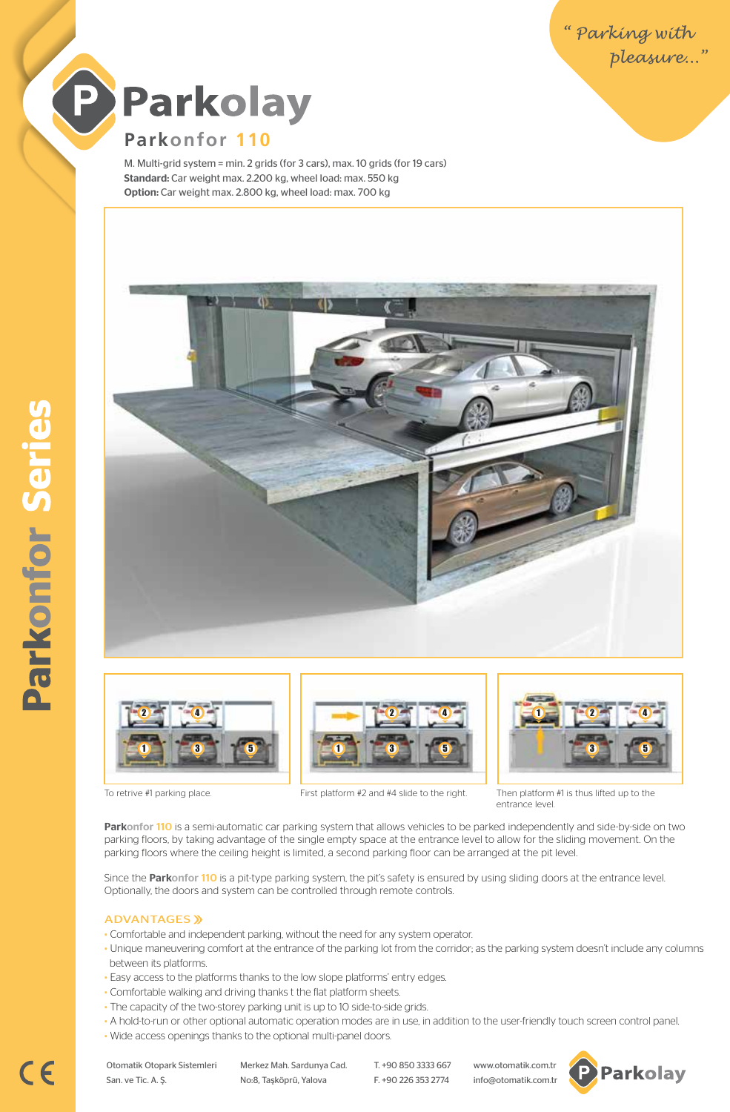



**Parkonfor 110**

M. Multi-grid system = min. 2 grids (for 3 cars), max. 10 grids (for 19 cars) Standard: Car weight max. 2.200 kg, wheel load: max. 550 kg Option: Car weight max. 2.800 kg, wheel load: max. 700 kg









To retrive #1 parking place. First platform #2 and #4 slide to the right. Then platform #1 is thus lifted up to the entrance level.

Parkonfor 110 is a semi-automatic car parking system that allows vehicles to be parked independently and side-by-side on two parking floors, by taking advantage of the single empty space at the entrance level to allow for the sliding movement. On the parking floors where the ceiling height is limited, a second parking floor can be arranged at the pit level.

Since the Parkonfor 110 is a pit-type parking system, the pit's safety is ensured by using sliding doors at the entrance level. Optionally, the doors and system can be controlled through remote controls.

### ADVANTAGES

- Comfortable and independent parking, without the need for any system operator.
- Unique maneuvering comfort at the entrance of the parking lot from the corridor; as the parking system doesn't include any columns between its platforms.
- Easy access to the platforms thanks to the low slope platforms' entry edges.
- Comfortable walking and driving thanks t the flat platform sheets.
- The capacity of the two-storey parking unit is up to 10 side-to-side grids.
- A hold-to-run or other optional automatic operation modes are in use, in addition to the user-friendly touch screen control panel.
- Wide access openings thanks to the optional multi-panel doors.

Otomatik Otopark Sistemleri Merkez Mah. Sardunya Cad. T. +90 850 3333 667 www.otomatik.com.tr San. ve Tic. A. Ş. No:8, Taşköprü, Yalova F. +90 226 353 2774 info@otomatik.com.tr



 $C \in$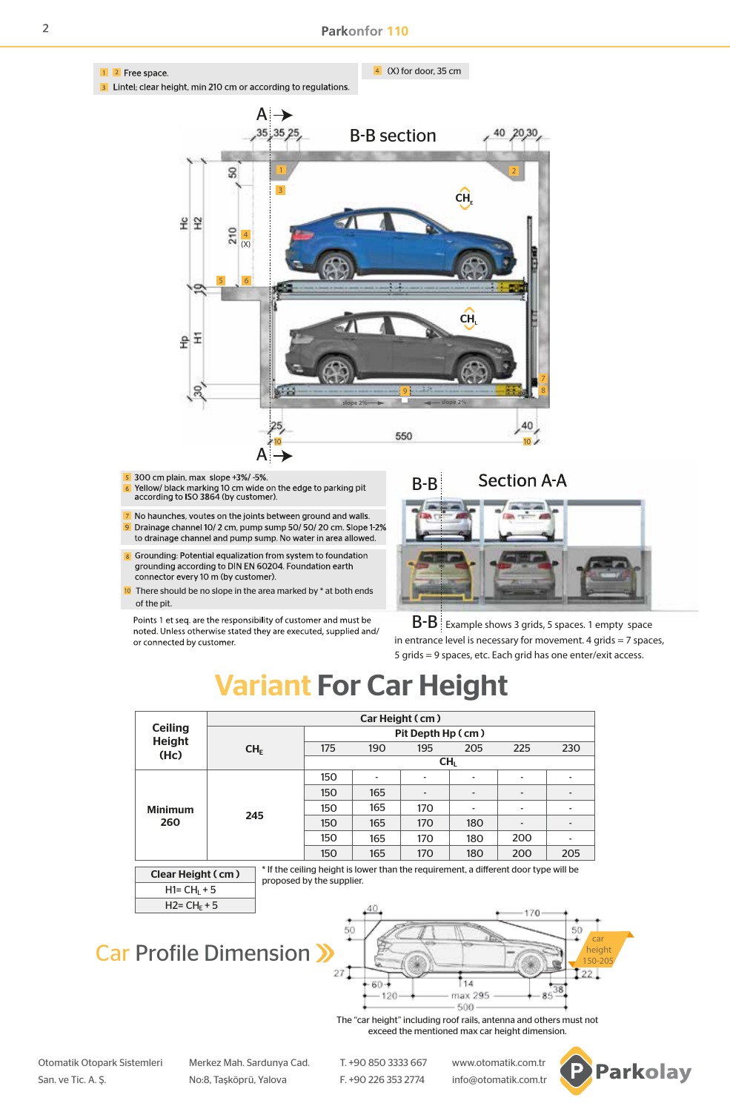1<sup>2</sup> Free space. Lintel; clear height, min 210 cm or according to regulations.





- 300 cm plain, max slope +3%/ -5%.
- Yellow/ black marking 10 cm wide on the edge to parking pit<br>according to ISO 3864 (by customer).
- No haunches, voutes on the joints between ground and walls. Drainage channel 10/2 cm, pump sump 50/50/20 cm. Slope 1-2% to drainage channel and pump sump. No water in area allowed.
- Grounding: Potential equalization from system to foundation grounding according to DIN EN 60204. Foundation earth connector every 10 m (by customer).
- $\overline{0}$  There should be no slope in the area marked by  $^*$  at both ends of the pit.

Points 1 et seq. are the responsibility of customer and must be noted. Unless otherwise stated they are executed, supplied and/ or connected by customer.

**Section A-A** B-B



 $\mathbf{B}\text{-}\mathbf{B}$  Example shows 3 grids, 5 spaces. 1 empty space in entrance level is necessary for movement. 4 grids = 7 spaces, 5 grids = 9 spaces, etc. Each grid has one enter/exit access.

# Variant For Car Height

|                                         | Car Height (cm) |                                                                                                                   |                   |     |     |     |                          |                |
|-----------------------------------------|-----------------|-------------------------------------------------------------------------------------------------------------------|-------------------|-----|-----|-----|--------------------------|----------------|
| <b>Ceiling</b><br><b>Height</b><br>(Hc) | CH <sub>F</sub> |                                                                                                                   | Pit Depth Hp (cm) |     |     |     |                          |                |
|                                         |                 |                                                                                                                   | 175               | 190 | 195 | 205 | 225                      | 230            |
|                                         |                 |                                                                                                                   | CH,               |     |     |     |                          |                |
| <b>Minimum</b><br>260                   | 245             |                                                                                                                   | 150               |     |     |     |                          |                |
|                                         |                 |                                                                                                                   | 150               | 165 |     |     | $\overline{\phantom{0}}$ | $\blacksquare$ |
|                                         |                 |                                                                                                                   | 150               | 165 | 170 |     |                          | $\blacksquare$ |
|                                         |                 |                                                                                                                   | 150               | 165 | 170 | 180 |                          | $\blacksquare$ |
|                                         |                 |                                                                                                                   | 150               | 165 | 170 | 180 | 200                      | ٠              |
|                                         |                 |                                                                                                                   | 150               | 165 | 170 | 180 | 200                      | 205            |
|                                         |                 |                                                                                                                   |                   |     |     |     |                          |                |
| Clear Height (cm)                       |                 | * If the ceiling height is lower than the reguirement, a different door type will be<br>proposed by the supplier. |                   |     |     |     |                          |                |
| $H1 = CH1 + 5$                          |                 |                                                                                                                   |                   |     |     |     |                          |                |

### Car Profile Dimension X

 $H2 = CH<sub>E</sub> + 5$ 



The "car height" including roof rails, antenna and others must not exceed the mentioned max car height dimension.

Otomatik Otopark Sistemleri Merkez Mah. Sardunya Cad. T. +90 850 3333 667 www.otomatik.com.tr San. ve Tic. A. S. No:8, Taşköprü, Yalova F. +90 226 353 2774 info@otomatik.com.tr

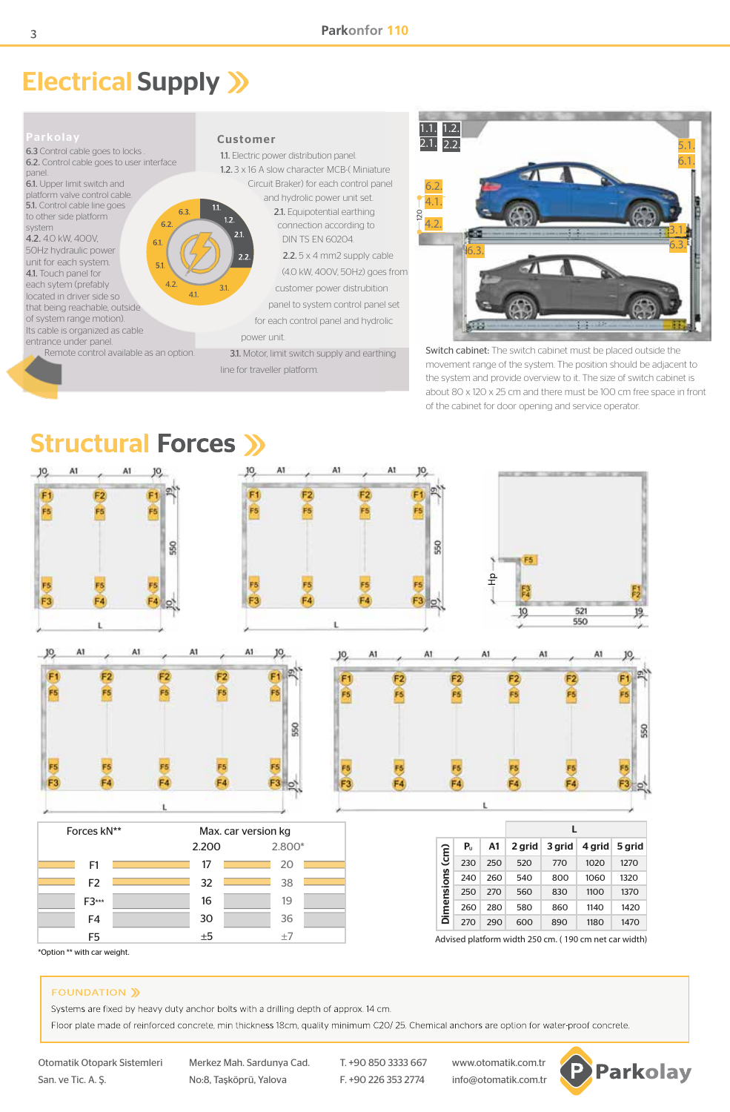### Electrical Supply  $\gg$





Switch cabinet: The switch cabinet must be placed outside the movement range of the system. The position should be adjacent to the system and provide overview to it. The size of switch cabinet is about 80 x 120 x 25 cm and there must be 100 cm free space in front of the cabinet for door opening and service operator.



\*Option \*\* with car weight.

#### **FOUNDATION »**

Systems are fixed by heavy duty anchor bolts with a drilling depth of approx. 14 cm.

Floor plate made of reinforced concrete, min thickness 18cm, quality minimum C2O/25. Chemical anchors are option for water-proof concrete.

Otomatik Otopark Sistemleri Merkez Mah. Sardunya Cad. T. +90 850 3333 667 www.otomatik.com.tr San. ve Tic. A. Ş. No:8, Taşköprü, Yalova F. +90 226 353 2774 info@otomatik.com.tr

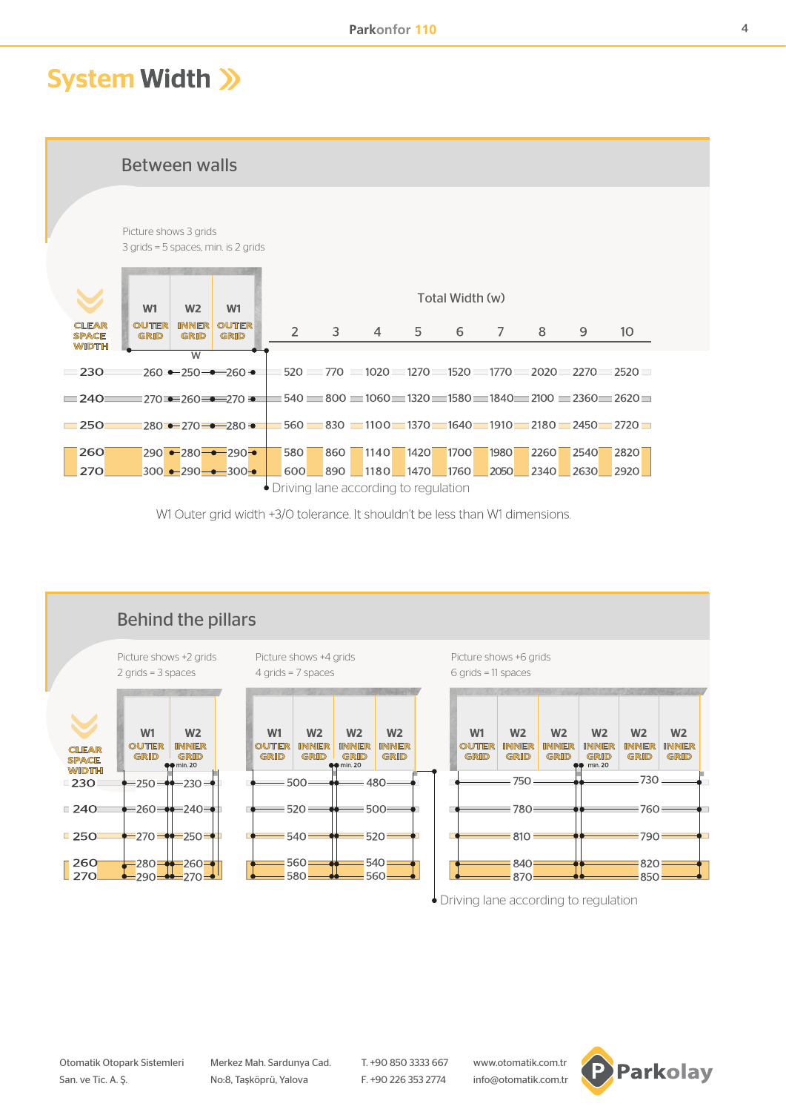### **System Width >>**



W1 Outer grid width +3/O tolerance. It shouldn't be less than W1 dimensions.



San. ve Tic. A. S. No:8, Taşköprü, Yalova F. +90 226 353 2774 info@otomatik.com.tr

Otomatik Otopark Sistemleri Merkez Mah. Sardunya Cad. T. +90 850 3333 667 www.otomatik.com.tr

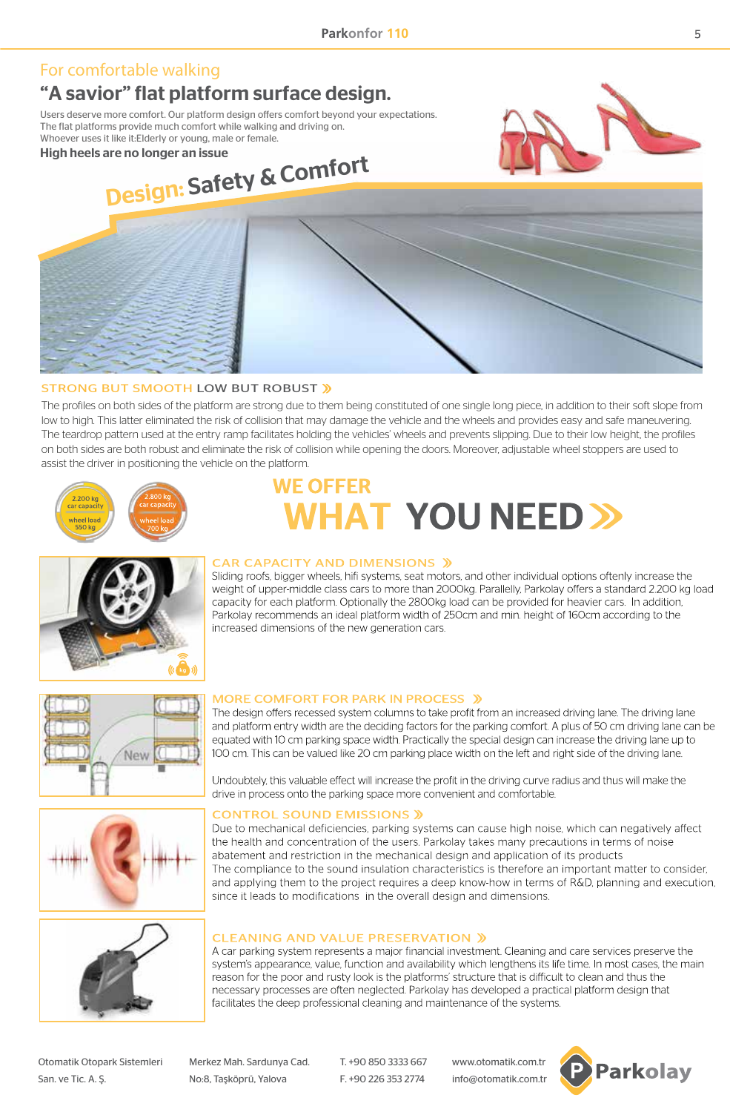### For comfortable walking "A savior" flat platform surface design.

Users deserve more comfort. Our platform design offers comfort beyond your expectations. The flat platforms provide much comfort while walking and driving on. Whoever uses it like it:Elderly or young, male or female.

High heels are no longer an issue





### STRONG BUT SMOOTH LOW BUT ROBUST »

The profiles on both sides of the platform are strong due to them being constituted of one single long piece, in addition to their soft slope from low to high. This latter eliminated the risk of collision that may damage the vehicle and the wheels and provides easy and safe maneuvering. The teardrop pattern used at the entry ramp facilitates holding the vehicles' wheels and prevents slipping. Due to their low height, the profiles on both sides are both robust and eliminate the risk of collision while opening the doors. Moreover, adjustable wheel stoppers are used to assist the driver in positioning the vehicle on the platform.



### **WF OFFFR WHAT YOU NEED >>**



### **CAR CAPACITY AND DIMENSIONS »**

Sliding roofs, bigger wheels, hifi systems, seat motors, and other individual options oftenly increase the weight of upper-middle class cars to more than 2000kg. Parallelly, Parkolay offers a standard 2.200 kg load capacity for each platform. Optionally the 2800kg load can be provided for heavier cars. In addition, Parkolay recommends an ideal platform width of 250cm and min. height of 160cm according to the increased dimensions of the new generation cars.







#### MORE COMFORT FOR PARK IN PROCESS »

The design offers recessed system columns to take profit from an increased driving lane. The driving lane and platform entry width are the deciding factors for the parking comfort. A plus of 50 cm driving lane can be equated with 10 cm parking space width. Practically the special design can increase the driving lane up to 100 cm. This can be valued like 20 cm parking place width on the left and right side of the driving lane.

Undoubtely, this valuable effect will increase the profit in the driving curve radius and thus will make the drive in process onto the parking space more convenient and comfortable.

### **CONTROL SOUND EMISSIONS »**

Due to mechanical deficiencies, parking systems can cause high noise, which can negatively affect the health and concentration of the users. Parkolay takes many precautions in terms of noise abatement and restriction in the mechanical design and application of its products The compliance to the sound insulation characteristics is therefore an important matter to consider, and applying them to the project requires a deep know-how in terms of R&D, planning and execution, since it leads to modifications in the overall design and dimensions.

#### **CLEANING AND VALUE PRESERVATION »**

A car parking system represents a major financial investment. Cleaning and care services preserve the system's appearance, value, function and availability which lengthens its life time. In most cases, the main reason for the poor and rusty look is the platforms' structure that is difficult to clean and thus the necessary processes are often neglected. Parkolay has developed a practical platform design that facilitates the deep professional cleaning and maintenance of the systems.

San. ve Tic. A. Ş. No:8, Taşköprü, Yalova F. +90 226 353 2774 info@otomatik.com.tr

Otomatik Otopark Sistemleri Merkez Mah. Sardunya Cad. T. +90 850 3333 667 www.otomatik.com.tr

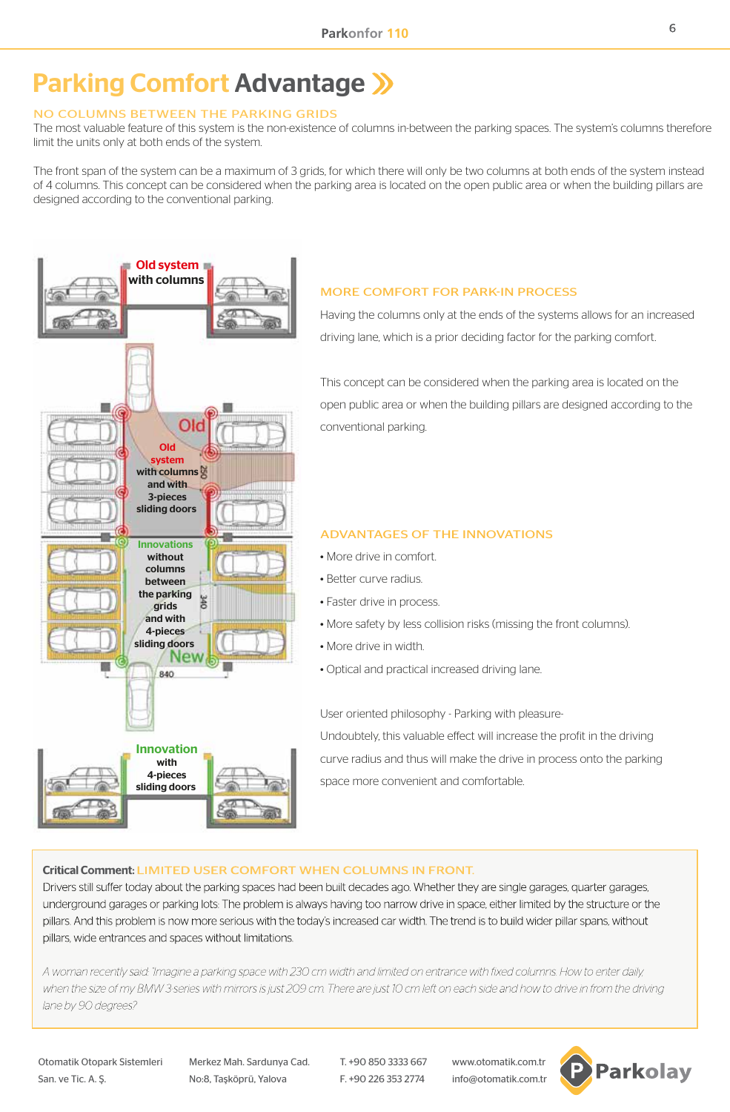# Parking Comfort Advantage >>>

### NO COLUMNS BETWEEN THE PARKING GRIDS

The most valuable feature of this system is the non-existence of columns in-between the parking spaces. The system's columns therefore limit the units only at both ends of the system.

The front span of the system can be a maximum of 3 grids, for which there will only be two columns at both ends of the system instead of 4 columns. This concept can be considered when the parking area is located on the open public area or when the building pillars are designed according to the conventional parking.



### MORE COMFORT FOR PARK-IN PROCESS

Having the columns only at the ends of the systems allows for an increased driving lane, which is a prior deciding factor for the parking comfort.

This concept can be considered when the parking area is located on the open public area or when the building pillars are designed according to the conventional parking.

### ADVANTAGES OF THE INNOVATIONS

- More drive in comfort.
- Better curve radius.
- Faster drive in process.
- More safety by less collision risks (missing the front columns).
- More drive in width.
- Optical and practical increased driving lane.

User oriented philosophy - Parking with pleasure-Undoubtely, this valuable effect will increase the profit in the driving curve radius and thus will make the drive in process onto the parking space more convenient and comfortable.

### Critical Comment: LIMITED USER COMFORT WHEN COLUMNS IN FRONT.

Drivers still suffer today about the parking spaces had been built decades ago. Whether they are single garages, quarter garages, underground garages or parking lots. The problem is always having too narrow drive in space, either limited by the structure or the pillars. And this problem is now more serious with the today's increased car width. The trend is to build wider pillar spans, without pillars, wide entrances and spaces without limitations.

A woman recently said: "Imagine a parking space with 230 cm width and limited on entrance with fixed columns. How to enter daily, when the size of my BMW 3-series with mirrors is just 209 cm. There are just 10 cm left on each side and how to drive in from the driving lane by 90 degrees?

Otomatik Otopark Sistemleri Merkez Mah. Sardunya Cad. T. +90 850 3333 667 www.otomatik.com.tr

San. ve Tic. A. Ş. No:8, Taşköprü, Yalova F. +90 226 353 2774 info@otomatik.com.tr

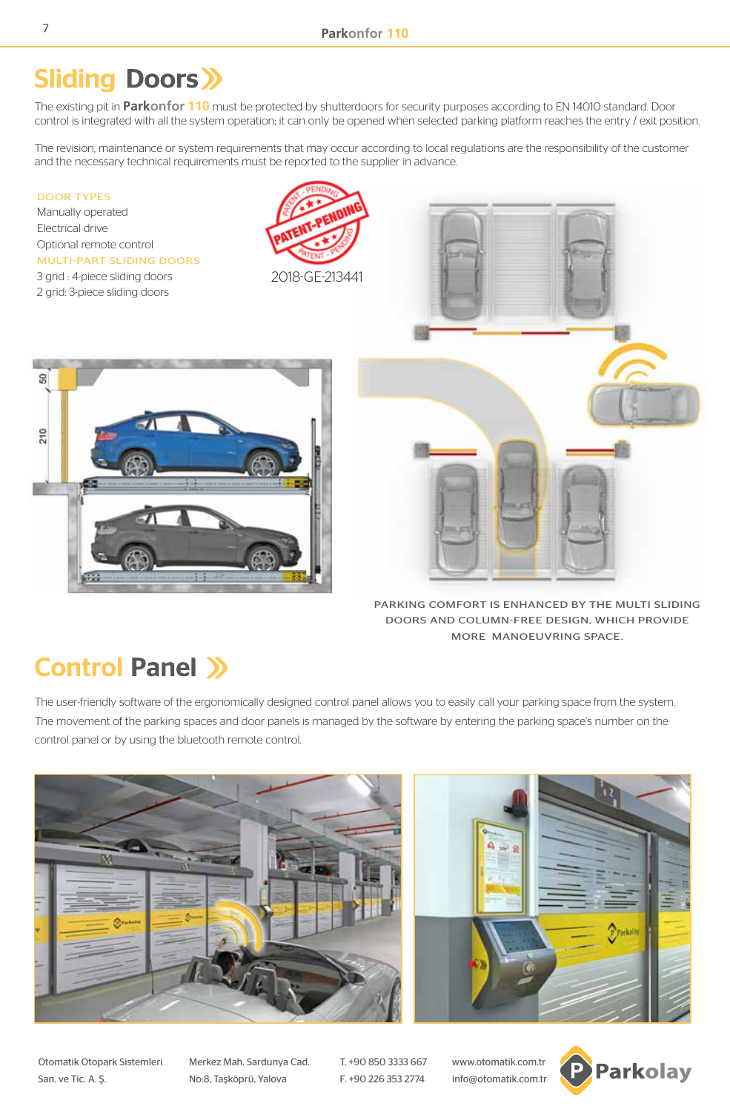# **Sliding Doors >>**

The existing pit in **Parkonfor 110** must be protected by shutterdoors for security purposes according to EN 14010 standard. Door control is integrated with all the system operation; it can only be opened when selected parking platform reaches the entry / exit position.

The revision, maintenance or system requirements that may occur according to local regulations are the responsibility of the customer and the necessary technical requirements must be reported to the supplier in advance.

DOOR TYPES Manually operated Electrical drive Optional remote control MULTI-PART SLIDING DOORS 3 grid : 4-piece sliding doors 2 grid: 3-piece sliding doors







PARKING COMFORT IS ENHANCED BY THE MULTI SLIDING DOORS AND COLUMN-FREE DESIGN, WHICH PROVIDE MORE MANOEUVRING SPACE.

# **Control Panel >>**

The user-friendly software of the ergonomically designed control panel allows you to easily call your parking space from the system. The movement of the parking spaces and door panels is managed by the software by entering the parking space's number on the control panel or by using the bluetooth remote control.



Otomatik Otopark Sistemleri Merkez Mah. Sardunya Cad. T. +90 850 3333 667 www.otomatik.com.tr San. ve Tic. A. Ş. No:8, Taşköprü, Yalova F. +90 226 353 2774 info@otomatik.com.tr